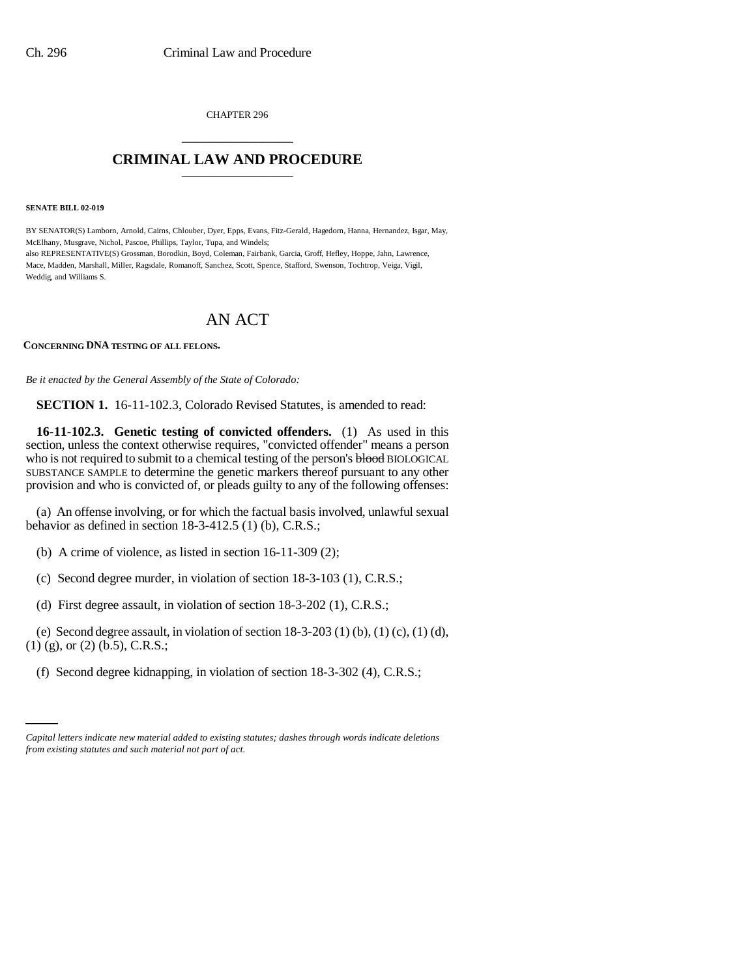CHAPTER 296 \_\_\_\_\_\_\_\_\_\_\_\_\_\_\_

## **CRIMINAL LAW AND PROCEDURE** \_\_\_\_\_\_\_\_\_\_\_\_\_\_\_

**SENATE BILL 02-019**

BY SENATOR(S) Lamborn, Arnold, Cairns, Chlouber, Dyer, Epps, Evans, Fitz-Gerald, Hagedorn, Hanna, Hernandez, Isgar, May, McElhany, Musgrave, Nichol, Pascoe, Phillips, Taylor, Tupa, and Windels; also REPRESENTATIVE(S) Grossman, Borodkin, Boyd, Coleman, Fairbank, Garcia, Groff, Hefley, Hoppe, Jahn, Lawrence, Mace, Madden, Marshall, Miller, Ragsdale, Romanoff, Sanchez, Scott, Spence, Stafford, Swenson, Tochtrop, Veiga, Vigil, Weddig, and Williams S.

# AN ACT

## **CONCERNING DNA TESTING OF ALL FELONS.**

*Be it enacted by the General Assembly of the State of Colorado:*

**SECTION 1.** 16-11-102.3, Colorado Revised Statutes, is amended to read:

**16-11-102.3. Genetic testing of convicted offenders.** (1) As used in this section, unless the context otherwise requires, "convicted offender" means a person who is not required to submit to a chemical testing of the person's blood BIOLOGICAL SUBSTANCE SAMPLE to determine the genetic markers thereof pursuant to any other provision and who is convicted of, or pleads guilty to any of the following offenses:

(a) An offense involving, or for which the factual basis involved, unlawful sexual behavior as defined in section 18-3-412.5 (1) (b), C.R.S.;

- (b) A crime of violence, as listed in section 16-11-309 (2);
- (c) Second degree murder, in violation of section 18-3-103 (1), C.R.S.;
- (d) First degree assault, in violation of section 18-3-202 (1), C.R.S.;

(e) Second degree assault, in violation of section  $18-3-203$  (1) (b), (1) (c), (1) (d), (1) (g), or (2) (b.5), C.R.S.;

 (f) Second degree kidnapping, in violation of section 18-3-302 (4), C.R.S.;

*Capital letters indicate new material added to existing statutes; dashes through words indicate deletions from existing statutes and such material not part of act.*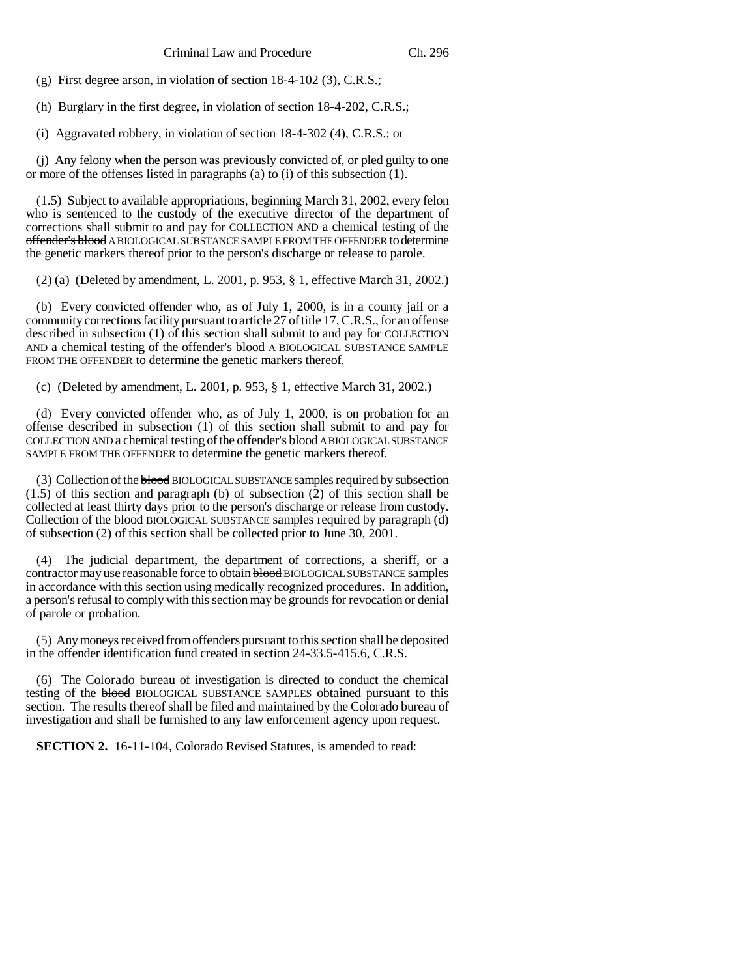(g) First degree arson, in violation of section 18-4-102 (3), C.R.S.;

(h) Burglary in the first degree, in violation of section 18-4-202, C.R.S.;

(i) Aggravated robbery, in violation of section 18-4-302 (4), C.R.S.; or

(j) Any felony when the person was previously convicted of, or pled guilty to one or more of the offenses listed in paragraphs (a) to (i) of this subsection (1).

(1.5) Subject to available appropriations, beginning March 31, 2002, every felon who is sentenced to the custody of the executive director of the department of corrections shall submit to and pay for COLLECTION AND a chemical testing of the offender's blood A BIOLOGICAL SUBSTANCE SAMPLE FROM THE OFFENDER to determine the genetic markers thereof prior to the person's discharge or release to parole.

(2) (a) (Deleted by amendment, L. 2001, p. 953, § 1, effective March 31, 2002.)

(b) Every convicted offender who, as of July 1, 2000, is in a county jail or a community corrections facility pursuant to article 27 of title 17, C.R.S., for an offense described in subsection (1) of this section shall submit to and pay for COLLECTION AND a chemical testing of the offender's blood A BIOLOGICAL SUBSTANCE SAMPLE FROM THE OFFENDER to determine the genetic markers thereof.

(c) (Deleted by amendment, L. 2001, p. 953, § 1, effective March 31, 2002.)

(d) Every convicted offender who, as of July 1, 2000, is on probation for an offense described in subsection (1) of this section shall submit to and pay for COLLECTION AND a chemical testing of the offender's blood A BIOLOGICAL SUBSTANCE SAMPLE FROM THE OFFENDER to determine the genetic markers thereof.

(3) Collection of the blood BIOLOGICAL SUBSTANCE samples required by subsection (1.5) of this section and paragraph (b) of subsection (2) of this section shall be collected at least thirty days prior to the person's discharge or release from custody. Collection of the blood BIOLOGICAL SUBSTANCE samples required by paragraph (d) of subsection (2) of this section shall be collected prior to June 30, 2001.

(4) The judicial department, the department of corrections, a sheriff, or a contractor may use reasonable force to obtain **blood** BIOLOGICAL SUBSTANCE samples in accordance with this section using medically recognized procedures. In addition, a person's refusal to comply with this section may be grounds for revocation or denial of parole or probation.

(5) Any moneys received from offenders pursuant to this section shall be deposited in the offender identification fund created in section 24-33.5-415.6, C.R.S.

(6) The Colorado bureau of investigation is directed to conduct the chemical testing of the blood BIOLOGICAL SUBSTANCE SAMPLES obtained pursuant to this section. The results thereof shall be filed and maintained by the Colorado bureau of investigation and shall be furnished to any law enforcement agency upon request.

**SECTION 2.** 16-11-104, Colorado Revised Statutes, is amended to read: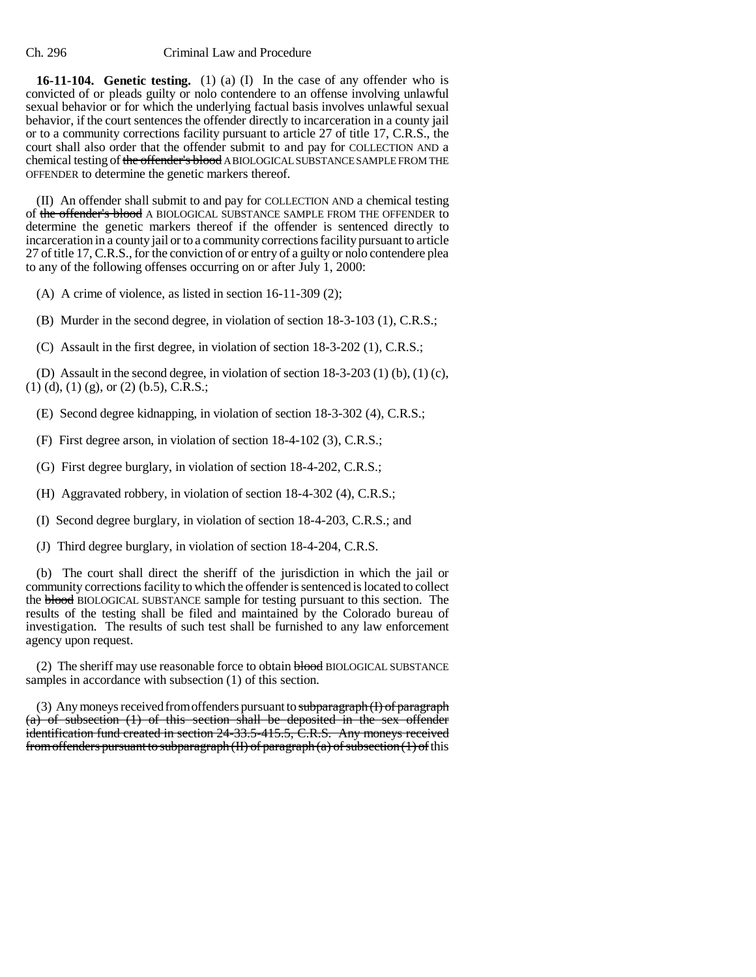**16-11-104. Genetic testing.** (1) (a) (I) In the case of any offender who is convicted of or pleads guilty or nolo contendere to an offense involving unlawful sexual behavior or for which the underlying factual basis involves unlawful sexual behavior, if the court sentences the offender directly to incarceration in a county jail or to a community corrections facility pursuant to article 27 of title 17, C.R.S., the court shall also order that the offender submit to and pay for COLLECTION AND a chemical testing of the offender's blood A BIOLOGICAL SUBSTANCE SAMPLE FROM THE OFFENDER to determine the genetic markers thereof.

(II) An offender shall submit to and pay for COLLECTION AND a chemical testing of the offender's blood A BIOLOGICAL SUBSTANCE SAMPLE FROM THE OFFENDER to determine the genetic markers thereof if the offender is sentenced directly to incarceration in a county jail or to a community corrections facility pursuant to article 27 of title 17, C.R.S., for the conviction of or entry of a guilty or nolo contendere plea to any of the following offenses occurring on or after July 1, 2000:

(A) A crime of violence, as listed in section 16-11-309 (2);

(B) Murder in the second degree, in violation of section 18-3-103 (1), C.R.S.;

(C) Assault in the first degree, in violation of section 18-3-202 (1), C.R.S.;

(D) Assault in the second degree, in violation of section 18-3-203 (1) (b), (1) (c),  $(1)$  (d), (1) (g), or (2) (b.5), C.R.S.;

(E) Second degree kidnapping, in violation of section 18-3-302 (4), C.R.S.;

(F) First degree arson, in violation of section 18-4-102 (3), C.R.S.;

(G) First degree burglary, in violation of section 18-4-202, C.R.S.;

(H) Aggravated robbery, in violation of section 18-4-302 (4), C.R.S.;

(I) Second degree burglary, in violation of section 18-4-203, C.R.S.; and

(J) Third degree burglary, in violation of section 18-4-204, C.R.S.

(b) The court shall direct the sheriff of the jurisdiction in which the jail or community corrections facility to which the offender is sentenced is located to collect the blood BIOLOGICAL SUBSTANCE sample for testing pursuant to this section. The results of the testing shall be filed and maintained by the Colorado bureau of investigation. The results of such test shall be furnished to any law enforcement agency upon request.

(2) The sheriff may use reasonable force to obtain blood BIOLOGICAL SUBSTANCE samples in accordance with subsection (1) of this section.

(3) Any moneys received from offenders pursuant to subparagraph (I) of paragraph (a) of subsection (1) of this section shall be deposited in the sex offender identification fund created in section 24-33.5-415.5, C.R.S. Any moneys received from offenders pursuant to subparagraph  $(II)$  of paragraph  $(a)$  of subsection  $(1)$  of this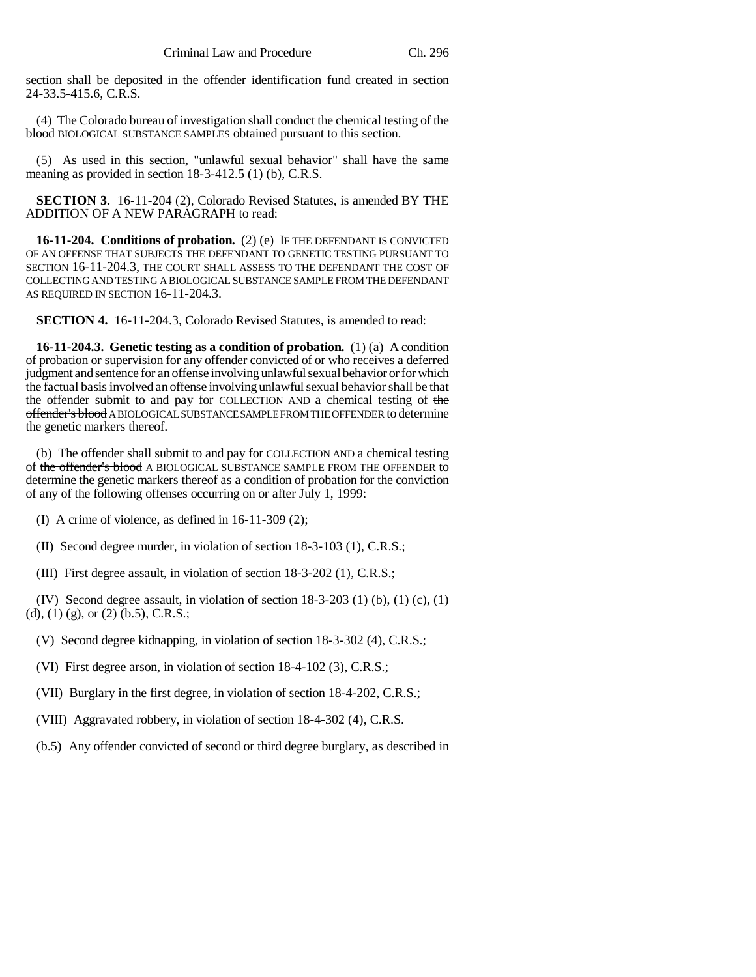section shall be deposited in the offender identification fund created in section 24-33.5-415.6, C.R.S.

(4) The Colorado bureau of investigation shall conduct the chemical testing of the blood BIOLOGICAL SUBSTANCE SAMPLES obtained pursuant to this section.

(5) As used in this section, "unlawful sexual behavior" shall have the same meaning as provided in section 18-3-412.5 (1) (b), C.R.S.

**SECTION 3.** 16-11-204 (2), Colorado Revised Statutes, is amended BY THE ADDITION OF A NEW PARAGRAPH to read:

**16-11-204. Conditions of probation.** (2) (e) IF THE DEFENDANT IS CONVICTED OF AN OFFENSE THAT SUBJECTS THE DEFENDANT TO GENETIC TESTING PURSUANT TO SECTION 16-11-204.3, THE COURT SHALL ASSESS TO THE DEFENDANT THE COST OF COLLECTING AND TESTING A BIOLOGICAL SUBSTANCE SAMPLE FROM THE DEFENDANT AS REQUIRED IN SECTION 16-11-204.3.

**SECTION 4.** 16-11-204.3, Colorado Revised Statutes, is amended to read:

**16-11-204.3. Genetic testing as a condition of probation.** (1) (a) A condition of probation or supervision for any offender convicted of or who receives a deferred judgment and sentence for an offense involving unlawful sexual behavior or for which the factual basis involved an offense involving unlawful sexual behavior shall be that the offender submit to and pay for COLLECTION AND a chemical testing of the offender's blood A BIOLOGICAL SUBSTANCE SAMPLE FROM THE OFFENDER to determine the genetic markers thereof.

(b) The offender shall submit to and pay for COLLECTION AND a chemical testing of the offender's blood A BIOLOGICAL SUBSTANCE SAMPLE FROM THE OFFENDER to determine the genetic markers thereof as a condition of probation for the conviction of any of the following offenses occurring on or after July 1, 1999:

(I) A crime of violence, as defined in 16-11-309 (2);

(II) Second degree murder, in violation of section 18-3-103 (1), C.R.S.;

(III) First degree assault, in violation of section 18-3-202 (1), C.R.S.;

(IV) Second degree assault, in violation of section  $18-3-203$  (1) (b), (1) (c), (1) (d), (1) (g), or (2) (b.5), C.R.S.;

- (V) Second degree kidnapping, in violation of section 18-3-302 (4), C.R.S.;
- (VI) First degree arson, in violation of section 18-4-102 (3), C.R.S.;
- (VII) Burglary in the first degree, in violation of section 18-4-202, C.R.S.;
- (VIII) Aggravated robbery, in violation of section 18-4-302 (4), C.R.S.
- (b.5) Any offender convicted of second or third degree burglary, as described in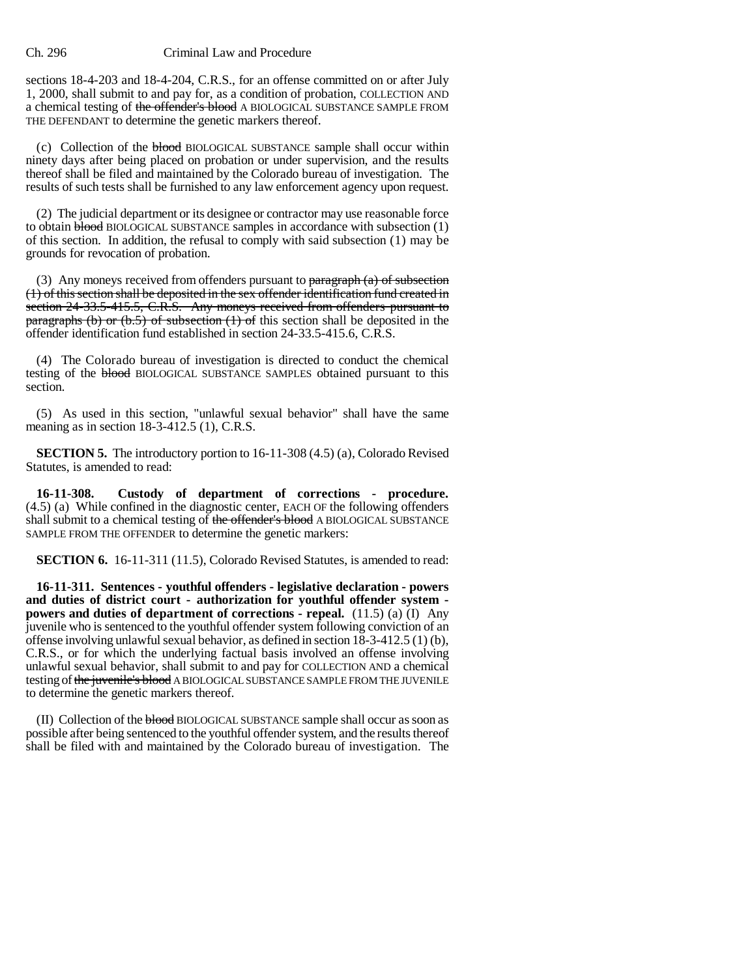#### Ch. 296 Criminal Law and Procedure

sections 18-4-203 and 18-4-204, C.R.S., for an offense committed on or after July 1, 2000, shall submit to and pay for, as a condition of probation, COLLECTION AND a chemical testing of the offender's blood A BIOLOGICAL SUBSTANCE SAMPLE FROM THE DEFENDANT to determine the genetic markers thereof.

(c) Collection of the blood BIOLOGICAL SUBSTANCE sample shall occur within ninety days after being placed on probation or under supervision, and the results thereof shall be filed and maintained by the Colorado bureau of investigation. The results of such tests shall be furnished to any law enforcement agency upon request.

(2) The judicial department or its designee or contractor may use reasonable force to obtain  $b$  bood BIOLOGICAL SUBSTANCE samples in accordance with subsection  $(1)$ of this section. In addition, the refusal to comply with said subsection (1) may be grounds for revocation of probation.

(3) Any moneys received from offenders pursuant to  $\frac{\text{parameter of}}{\text{mean}}$ (1) of this section shall be deposited in the sex offender identification fund created in section 24-33.5-415.5, C.R.S. Any moneys received from offenders pursuant to paragraphs (b) or  $(b.5)$  of subsection  $(1)$  of this section shall be deposited in the offender identification fund established in section 24-33.5-415.6, C.R.S.

(4) The Colorado bureau of investigation is directed to conduct the chemical testing of the blood BIOLOGICAL SUBSTANCE SAMPLES obtained pursuant to this section.

(5) As used in this section, "unlawful sexual behavior" shall have the same meaning as in section 18-3-412.5 (1), C.R.S.

**SECTION 5.** The introductory portion to 16-11-308 (4.5) (a), Colorado Revised Statutes, is amended to read:

**16-11-308. Custody of department of corrections - procedure.** (4.5) (a) While confined in the diagnostic center, EACH OF the following offenders shall submit to a chemical testing of the offender's blood A BIOLOGICAL SUBSTANCE SAMPLE FROM THE OFFENDER to determine the genetic markers:

**SECTION 6.** 16-11-311 (11.5), Colorado Revised Statutes, is amended to read:

**16-11-311. Sentences - youthful offenders - legislative declaration - powers and duties of district court - authorization for youthful offender system powers and duties of department of corrections - repeal.** (11.5) (a) (I) Any juvenile who is sentenced to the youthful offender system following conviction of an offense involving unlawful sexual behavior, as defined in section  $18-3-412.5(1)(b)$ , C.R.S., or for which the underlying factual basis involved an offense involving unlawful sexual behavior, shall submit to and pay for COLLECTION AND a chemical testing of the juvenile's blood A BIOLOGICAL SUBSTANCE SAMPLE FROM THE JUVENILE to determine the genetic markers thereof.

(II) Collection of the blood BIOLOGICAL SUBSTANCE sample shall occur as soon as possible after being sentenced to the youthful offender system, and the results thereof shall be filed with and maintained by the Colorado bureau of investigation. The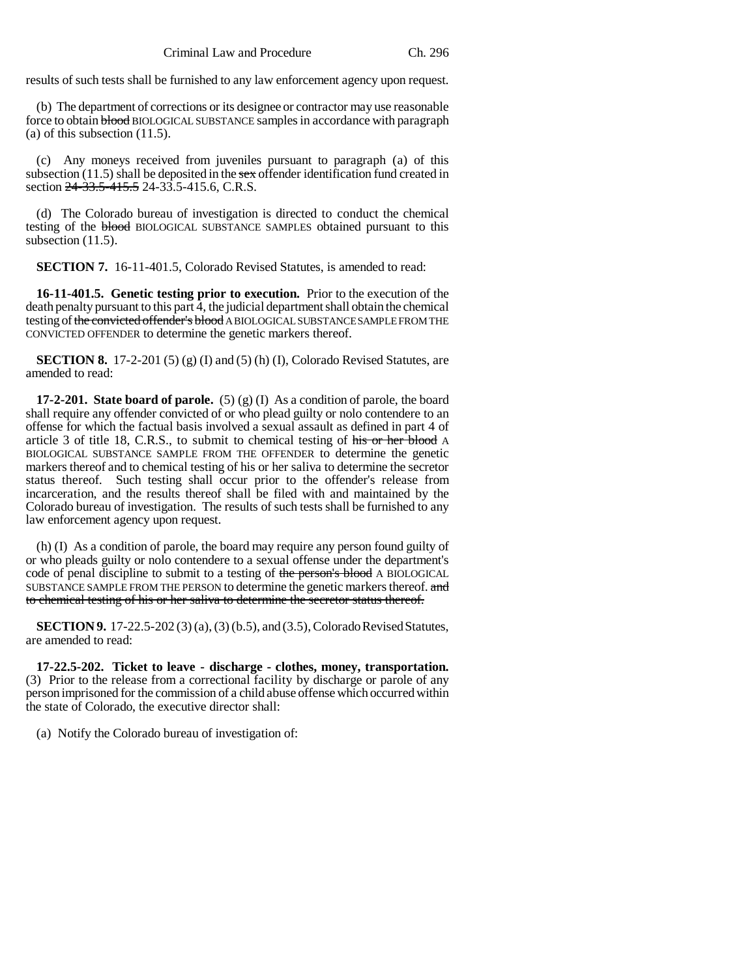results of such tests shall be furnished to any law enforcement agency upon request.

(b) The department of corrections or its designee or contractor may use reasonable force to obtain blood BIOLOGICAL SUBSTANCE samples in accordance with paragraph (a) of this subsection (11.5).

(c) Any moneys received from juveniles pursuant to paragraph (a) of this subsection (11.5) shall be deposited in the sex of fender identification fund created in section 24-33.5-415.5 24-33.5-415.6, C.R.S.

(d) The Colorado bureau of investigation is directed to conduct the chemical testing of the **blood** BIOLOGICAL SUBSTANCE SAMPLES obtained pursuant to this subsection  $(11.5)$ .

**SECTION 7.** 16-11-401.5, Colorado Revised Statutes, is amended to read:

**16-11-401.5. Genetic testing prior to execution.** Prior to the execution of the death penalty pursuant to this part  $\overline{4}$ , the judicial department shall obtain the chemical testing of the convicted offender's blood A BIOLOGICAL SUBSTANCE SAMPLE FROM THE CONVICTED OFFENDER to determine the genetic markers thereof.

**SECTION 8.** 17-2-201 (5) (g) (I) and (5) (h) (I), Colorado Revised Statutes, are amended to read:

**17-2-201. State board of parole.** (5) (g) (I) As a condition of parole, the board shall require any offender convicted of or who plead guilty or nolo contendere to an offense for which the factual basis involved a sexual assault as defined in part 4 of article 3 of title 18, C.R.S., to submit to chemical testing of his or her blood A BIOLOGICAL SUBSTANCE SAMPLE FROM THE OFFENDER to determine the genetic markers thereof and to chemical testing of his or her saliva to determine the secretor status thereof. Such testing shall occur prior to the offender's release from incarceration, and the results thereof shall be filed with and maintained by the Colorado bureau of investigation. The results of such tests shall be furnished to any law enforcement agency upon request.

(h) (I) As a condition of parole, the board may require any person found guilty of or who pleads guilty or nolo contendere to a sexual offense under the department's code of penal discipline to submit to a testing of the person's blood A BIOLOGICAL SUBSTANCE SAMPLE FROM THE PERSON to determine the genetic markers thereof. and to chemical testing of his or her saliva to determine the secretor status thereof.

**SECTION 9.** 17-22.5-202 (3) (a), (3) (b.5), and (3.5), Colorado Revised Statutes, are amended to read:

**17-22.5-202. Ticket to leave - discharge - clothes, money, transportation.** (3) Prior to the release from a correctional facility by discharge or parole of any person imprisoned for the commission of a child abuse offense which occurred within the state of Colorado, the executive director shall:

(a) Notify the Colorado bureau of investigation of: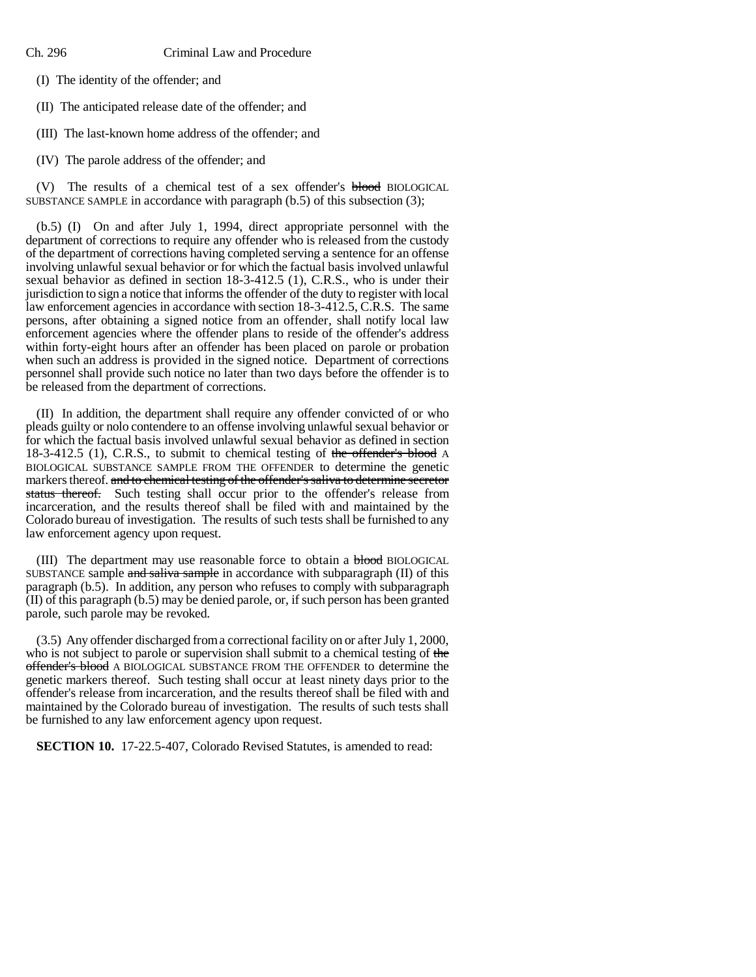(I) The identity of the offender; and

(II) The anticipated release date of the offender; and

(III) The last-known home address of the offender; and

(IV) The parole address of the offender; and

(V) The results of a chemical test of a sex offender's **blood** BIOLOGICAL SUBSTANCE SAMPLE in accordance with paragraph (b.5) of this subsection (3);

(b.5) (I) On and after July 1, 1994, direct appropriate personnel with the department of corrections to require any offender who is released from the custody of the department of corrections having completed serving a sentence for an offense involving unlawful sexual behavior or for which the factual basis involved unlawful sexual behavior as defined in section 18-3-412.5 (1), C.R.S., who is under their jurisdiction to sign a notice that informs the offender of the duty to register with local law enforcement agencies in accordance with section 18-3-412.5, C.R.S. The same persons, after obtaining a signed notice from an offender, shall notify local law enforcement agencies where the offender plans to reside of the offender's address within forty-eight hours after an offender has been placed on parole or probation when such an address is provided in the signed notice. Department of corrections personnel shall provide such notice no later than two days before the offender is to be released from the department of corrections.

(II) In addition, the department shall require any offender convicted of or who pleads guilty or nolo contendere to an offense involving unlawful sexual behavior or for which the factual basis involved unlawful sexual behavior as defined in section 18-3-412.5 (1), C.R.S., to submit to chemical testing of the offender's blood A BIOLOGICAL SUBSTANCE SAMPLE FROM THE OFFENDER to determine the genetic markers thereof. and to chemical testing of the offender's saliva to determine secretor status thereof. Such testing shall occur prior to the offender's release from incarceration, and the results thereof shall be filed with and maintained by the Colorado bureau of investigation. The results of such tests shall be furnished to any law enforcement agency upon request.

(III) The department may use reasonable force to obtain a blood BIOLOGICAL SUBSTANCE sample and saliva sample in accordance with subparagraph (II) of this paragraph (b.5). In addition, any person who refuses to comply with subparagraph (II) of this paragraph (b.5) may be denied parole, or, if such person has been granted parole, such parole may be revoked.

(3.5) Any offender discharged from a correctional facility on or after July 1, 2000, who is not subject to parole or supervision shall submit to a chemical testing of the offender's blood A BIOLOGICAL SUBSTANCE FROM THE OFFENDER to determine the genetic markers thereof. Such testing shall occur at least ninety days prior to the offender's release from incarceration, and the results thereof shall be filed with and maintained by the Colorado bureau of investigation. The results of such tests shall be furnished to any law enforcement agency upon request.

**SECTION 10.** 17-22.5-407, Colorado Revised Statutes, is amended to read: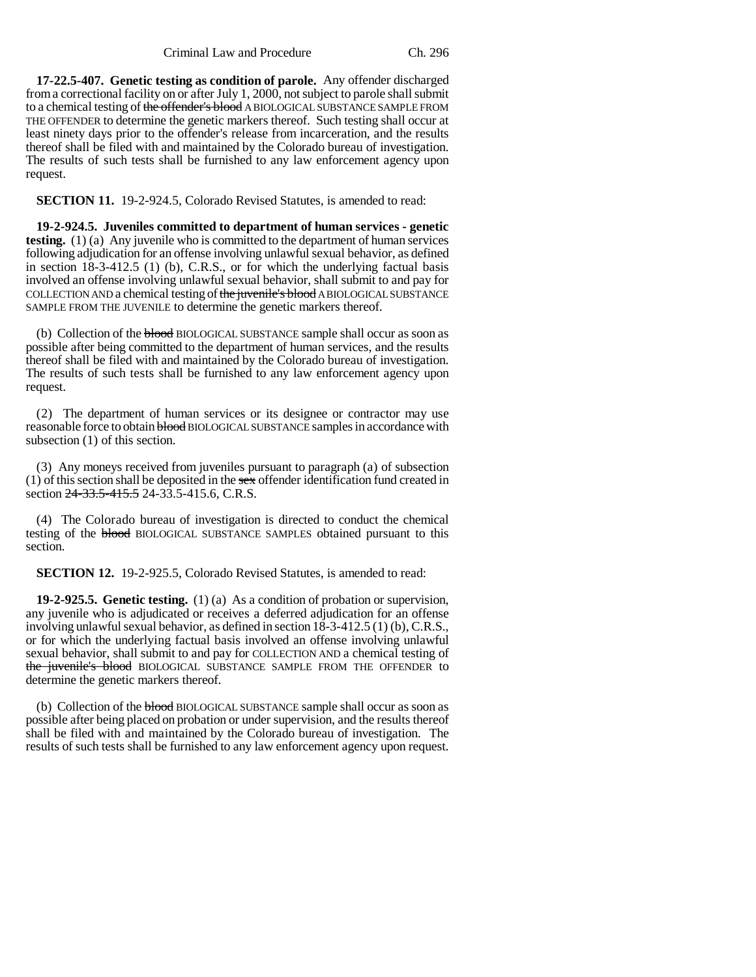Criminal Law and Procedure Ch. 296

**17-22.5-407. Genetic testing as condition of parole.** Any offender discharged from a correctional facility on or after July 1, 2000, not subject to parole shall submit to a chemical testing of the offender's blood A BIOLOGICAL SUBSTANCE SAMPLE FROM THE OFFENDER to determine the genetic markers thereof. Such testing shall occur at least ninety days prior to the offender's release from incarceration, and the results thereof shall be filed with and maintained by the Colorado bureau of investigation. The results of such tests shall be furnished to any law enforcement agency upon request.

**SECTION 11.** 19-2-924.5, Colorado Revised Statutes, is amended to read:

**19-2-924.5. Juveniles committed to department of human services - genetic testing.** (1) (a) Any juvenile who is committed to the department of human services following adjudication for an offense involving unlawful sexual behavior, as defined in section 18-3-412.5 (1) (b), C.R.S., or for which the underlying factual basis involved an offense involving unlawful sexual behavior, shall submit to and pay for COLLECTION AND a chemical testing of the juvenile's blood A BIOLOGICAL SUBSTANCE SAMPLE FROM THE JUVENILE to determine the genetic markers thereof.

(b) Collection of the blood BIOLOGICAL SUBSTANCE sample shall occur as soon as possible after being committed to the department of human services, and the results thereof shall be filed with and maintained by the Colorado bureau of investigation. The results of such tests shall be furnished to any law enforcement agency upon request.

(2) The department of human services or its designee or contractor may use reasonable force to obtain **blood** BIOLOGICAL SUBSTANCE samples in accordance with subsection (1) of this section.

(3) Any moneys received from juveniles pursuant to paragraph (a) of subsection (1) of this section shall be deposited in the sex offender identification fund created in section 24-33.5-415.5 24-33.5-415.6, C.R.S.

(4) The Colorado bureau of investigation is directed to conduct the chemical testing of the **blood** BIOLOGICAL SUBSTANCE SAMPLES obtained pursuant to this section.

**SECTION 12.** 19-2-925.5, Colorado Revised Statutes, is amended to read:

**19-2-925.5. Genetic testing.** (1) (a) As a condition of probation or supervision, any juvenile who is adjudicated or receives a deferred adjudication for an offense involving unlawful sexual behavior, as defined in section 18-3-412.5 (1) (b), C.R.S., or for which the underlying factual basis involved an offense involving unlawful sexual behavior, shall submit to and pay for COLLECTION AND a chemical testing of the juvenile's blood BIOLOGICAL SUBSTANCE SAMPLE FROM THE OFFENDER to determine the genetic markers thereof.

(b) Collection of the **blood** BIOLOGICAL SUBSTANCE sample shall occur as soon as possible after being placed on probation or under supervision, and the results thereof shall be filed with and maintained by the Colorado bureau of investigation. The results of such tests shall be furnished to any law enforcement agency upon request.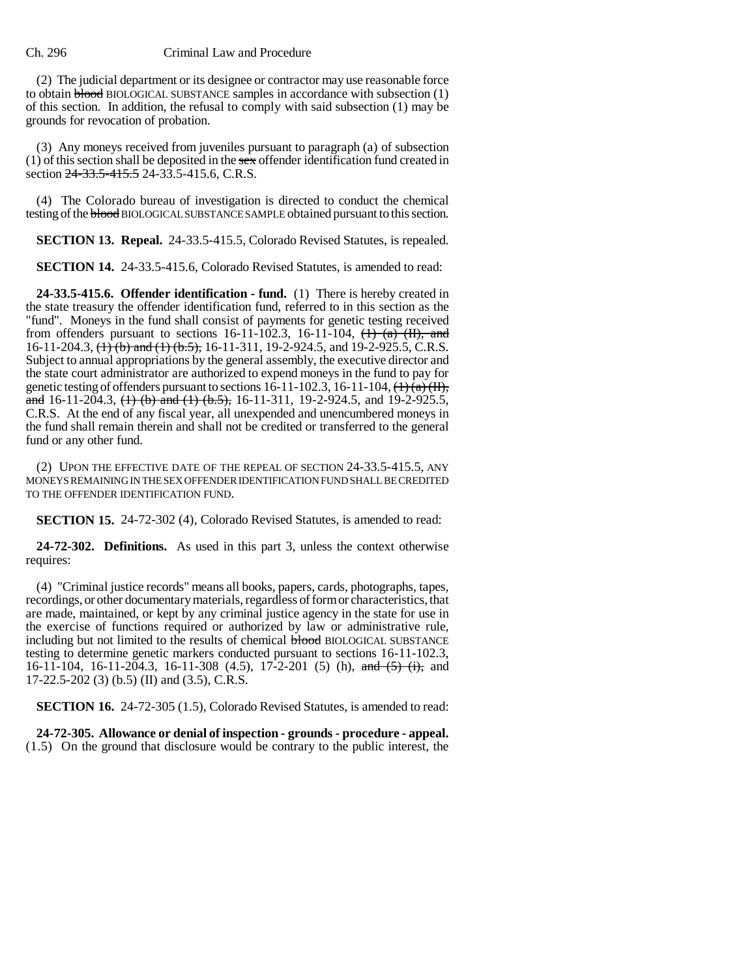### Ch. 296 Criminal Law and Procedure

(2) The judicial department or its designee or contractor may use reasonable force to obtain blood BIOLOGICAL SUBSTANCE samples in accordance with subsection (1) of this section. In addition, the refusal to comply with said subsection (1) may be grounds for revocation of probation.

(3) Any moneys received from juveniles pursuant to paragraph (a) of subsection  $(1)$  of this section shall be deposited in the sex offender identification fund created in section 24-33.5-415.5 24-33.5-415.6, C.R.S.

(4) The Colorado bureau of investigation is directed to conduct the chemical testing of the blood BIOLOGICAL SUBSTANCE SAMPLE obtained pursuant to this section.

**SECTION 13. Repeal.** 24-33.5-415.5, Colorado Revised Statutes, is repealed.

**SECTION 14.** 24-33.5-415.6, Colorado Revised Statutes, is amended to read:

**24-33.5-415.6. Offender identification - fund.** (1) There is hereby created in the state treasury the offender identification fund, referred to in this section as the "fund". Moneys in the fund shall consist of payments for genetic testing received from offenders pursuant to sections 16-11-102.3, 16-11-104,  $(\frac{1}{(1)}$   $(\frac{1}{(1)})$ , and 16-11-204.3,  $\overline{(1)}$  (b) and  $\overline{(1)}$  (b.5), 16-11-311, 19-2-924.5, and 19-2-925.5, C.R.S. Subject to annual appropriations by the general assembly, the executive director and the state court administrator are authorized to expend moneys in the fund to pay for genetic testing of offenders pursuant to sections  $16-11-102.3$ ,  $16-11-104$ ,  $\left(\frac{1}{6}\right)\left(\frac{\overline{11}}{11}\right)$ , and 16-11-204.3,  $(1)$  (b) and  $(1)$  (b.5), 16-11-311, 19-2-924.5, and 19-2-925.5, C.R.S. At the end of any fiscal year, all unexpended and unencumbered moneys in the fund shall remain therein and shall not be credited or transferred to the general fund or any other fund.

(2) UPON THE EFFECTIVE DATE OF THE REPEAL OF SECTION 24-33.5-415.5, ANY MONEYS REMAINING IN THE SEX OFFENDER IDENTIFICATION FUND SHALL BE CREDITED TO THE OFFENDER IDENTIFICATION FUND.

**SECTION 15.** 24-72-302 (4), Colorado Revised Statutes, is amended to read:

**24-72-302. Definitions.** As used in this part 3, unless the context otherwise requires:

(4) "Criminal justice records" means all books, papers, cards, photographs, tapes, recordings, or other documentary materials, regardless of form or characteristics, that are made, maintained, or kept by any criminal justice agency in the state for use in the exercise of functions required or authorized by law or administrative rule, including but not limited to the results of chemical **blood** BIOLOGICAL SUBSTANCE testing to determine genetic markers conducted pursuant to sections 16-11-102.3, 16-11-104, 16-11-204.3, 16-11-308 (4.5), 17-2-201 (5) (h), and (5) (i), and 17-22.5-202 (3) (b.5) (II) and (3.5), C.R.S.

**SECTION 16.** 24-72-305 (1.5), Colorado Revised Statutes, is amended to read:

**24-72-305. Allowance or denial of inspection - grounds - procedure - appeal.** (1.5) On the ground that disclosure would be contrary to the public interest, the